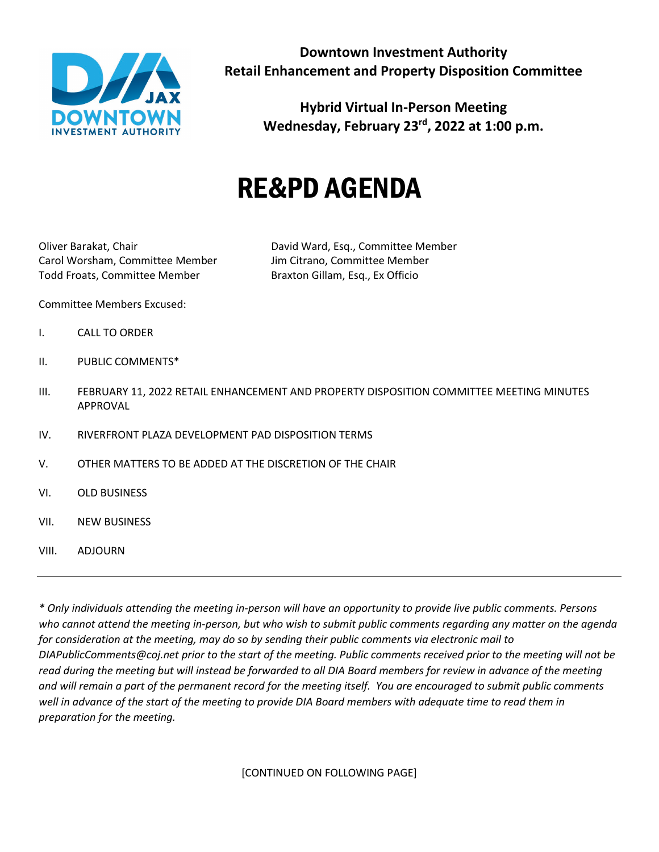

**Hybrid Virtual In-Person Meeting Wednesday, February 23rd, 2022 at 1:00 p.m.**

## RE&PD AGENDA

Carol Worsham, Committee Member Jim Citrano, Committee Member Todd Froats, Committee Member Braxton Gillam, Esq., Ex Officio

Oliver Barakat, Chair David Ward, Esq., Committee Member

Committee Members Excused:

- I. CALL TO ORDER
- II. PUBLIC COMMENTS\*
- III. FEBRUARY 11, 2022 RETAIL ENHANCEMENT AND PROPERTY DISPOSITION COMMITTEE MEETING MINUTES APPROVAL
- IV. RIVERFRONT PLAZA DEVELOPMENT PAD DISPOSITION TERMS
- V. OTHER MATTERS TO BE ADDED AT THE DISCRETION OF THE CHAIR
- VI. OLD BUSINESS
- VII. NEW BUSINESS
- VIII. ADJOURN

*\* Only individuals attending the meeting in-person will have an opportunity to provide live public comments. Persons who cannot attend the meeting in-person, but who wish to submit public comments regarding any matter on the agenda for consideration at the meeting, may do so by sending their public comments via electronic mail to DIAPublicComments@coj.net prior to the start of the meeting. Public comments received prior to the meeting will not be read during the meeting but will instead be forwarded to all DIA Board members for review in advance of the meeting and will remain a part of the permanent record for the meeting itself. You are encouraged to submit public comments well in advance of the start of the meeting to provide DIA Board members with adequate time to read them in preparation for the meeting.*